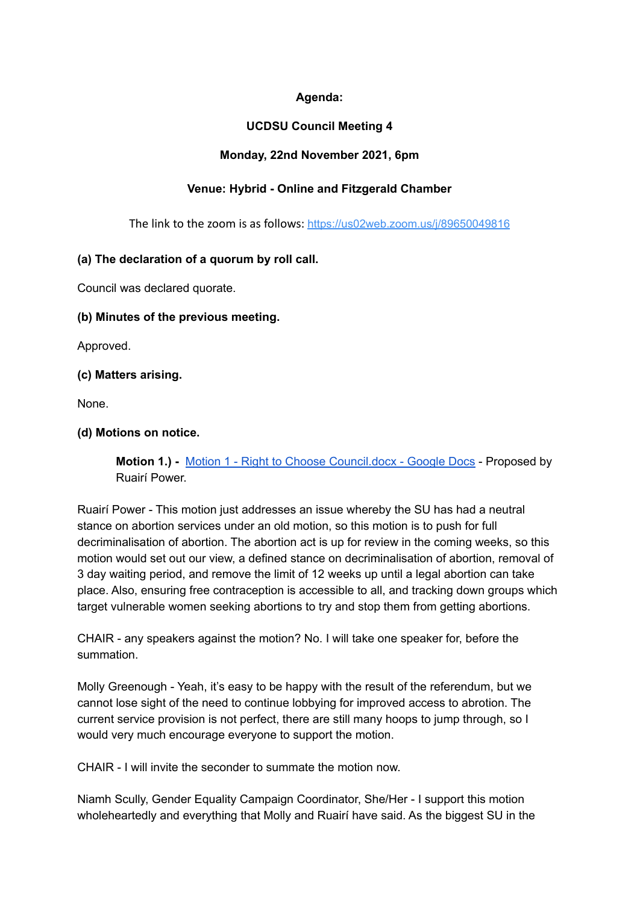# **Agenda:**

# **UCDSU Council Meeting 4**

## **Monday, 22nd November 2021, 6pm**

# **Venue: Hybrid - Online and Fitzgerald Chamber**

The link to the zoom is as follows: <https://us02web.zoom.us/j/89650049816>

## **(a) The declaration of a quorum by roll call.**

Council was declared quorate.

## **(b) Minutes of the previous meeting.**

Approved.

## **(c) Matters arising.**

None.

## **(d) Motions on notice.**

**Motion 1.) -** Motion 1 - Right to Choose [Council.docx](https://docs.google.com/document/d/16VPLy33YvaH3gv6r84PfzO2x4FbLJK3w/edit?rtpof=true) - Google Docs - Proposed by Ruairí Power.

Ruairí Power - This motion just addresses an issue whereby the SU has had a neutral stance on abortion services under an old motion, so this motion is to push for full decriminalisation of abortion. The abortion act is up for review in the coming weeks, so this motion would set out our view, a defined stance on decriminalisation of abortion, removal of 3 day waiting period, and remove the limit of 12 weeks up until a legal abortion can take place. Also, ensuring free contraception is accessible to all, and tracking down groups which target vulnerable women seeking abortions to try and stop them from getting abortions.

CHAIR - any speakers against the motion? No. I will take one speaker for, before the summation.

Molly Greenough - Yeah, it's easy to be happy with the result of the referendum, but we cannot lose sight of the need to continue lobbying for improved access to abrotion. The current service provision is not perfect, there are still many hoops to jump through, so I would very much encourage everyone to support the motion.

CHAIR - I will invite the seconder to summate the motion now.

Niamh Scully, Gender Equality Campaign Coordinator, She/Her - I support this motion wholeheartedly and everything that Molly and Ruairí have said. As the biggest SU in the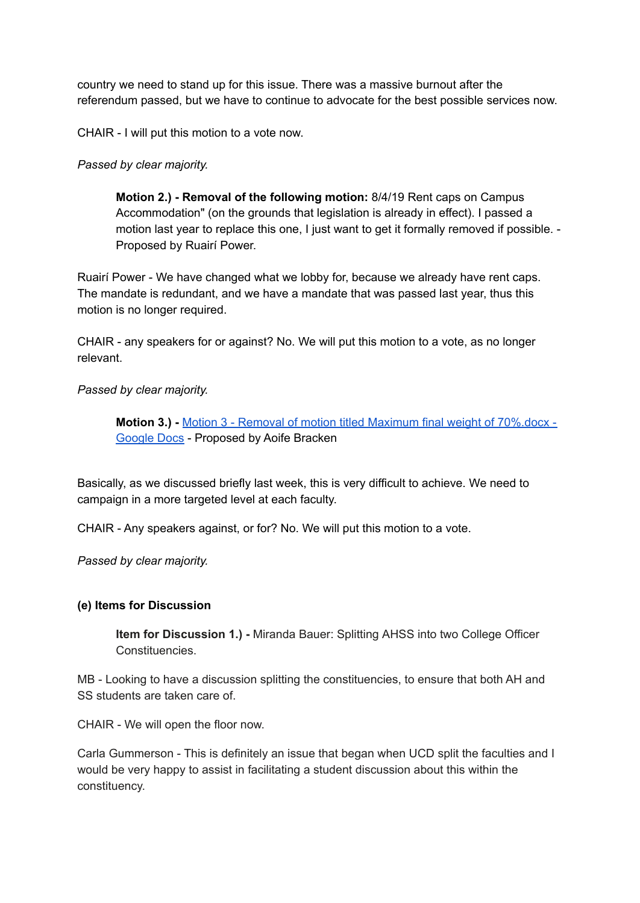country we need to stand up for this issue. There was a massive burnout after the referendum passed, but we have to continue to advocate for the best possible services now.

CHAIR - I will put this motion to a vote now.

## *Passed by clear majority.*

**Motion 2.) - Removal of the following motion:** 8/4/19 Rent caps on Campus Accommodation" (on the grounds that legislation is already in effect). I passed a motion last year to replace this one, I just want to get it formally removed if possible. - Proposed by Ruairí Power.

Ruairí Power - We have changed what we lobby for, because we already have rent caps. The mandate is redundant, and we have a mandate that was passed last year, thus this motion is no longer required.

CHAIR - any speakers for or against? No. We will put this motion to a vote, as no longer relevant.

## *Passed by clear majority.*

**Motion 3.) -** Motion 3 - Removal of motion titled Maximum final weight of [70%.docx](https://docs.google.com/document/d/1suYvJNHVnHP1ztBAv_E4ky2HCkhhAKpi/edit?rtpof=true) - [Google](https://docs.google.com/document/d/1suYvJNHVnHP1ztBAv_E4ky2HCkhhAKpi/edit?rtpof=true) Docs - Proposed by Aoife Bracken

Basically, as we discussed briefly last week, this is very difficult to achieve. We need to campaign in a more targeted level at each faculty.

CHAIR - Any speakers against, or for? No. We will put this motion to a vote.

*Passed by clear majority.*

### **(e) Items for Discussion**

**Item for Discussion 1.) -** Miranda Bauer: Splitting AHSS into two College Officer Constituencies.

MB - Looking to have a discussion splitting the constituencies, to ensure that both AH and SS students are taken care of.

CHAIR - We will open the floor now.

Carla Gummerson - This is definitely an issue that began when UCD split the faculties and I would be very happy to assist in facilitating a student discussion about this within the constituency.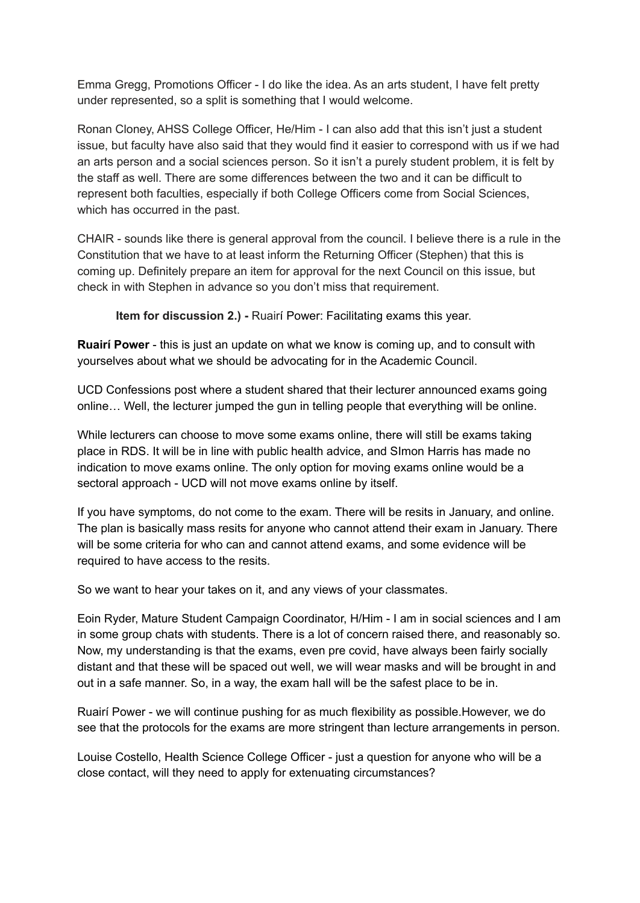Emma Gregg, Promotions Officer - I do like the idea. As an arts student, I have felt pretty under represented, so a split is something that I would welcome.

Ronan Cloney, AHSS College Officer, He/Him - I can also add that this isn't just a student issue, but faculty have also said that they would find it easier to correspond with us if we had an arts person and a social sciences person. So it isn't a purely student problem, it is felt by the staff as well. There are some differences between the two and it can be difficult to represent both faculties, especially if both College Officers come from Social Sciences, which has occurred in the past.

CHAIR - sounds like there is general approval from the council. I believe there is a rule in the Constitution that we have to at least inform the Returning Officer (Stephen) that this is coming up. Definitely prepare an item for approval for the next Council on this issue, but check in with Stephen in advance so you don't miss that requirement.

**Item for discussion 2.) -** Ruairí Power: Facilitating exams this year.

**Ruairí Power** - this is just an update on what we know is coming up, and to consult with yourselves about what we should be advocating for in the Academic Council.

UCD Confessions post where a student shared that their lecturer announced exams going online… Well, the lecturer jumped the gun in telling people that everything will be online.

While lecturers can choose to move some exams online, there will still be exams taking place in RDS. It will be in line with public health advice, and SImon Harris has made no indication to move exams online. The only option for moving exams online would be a sectoral approach - UCD will not move exams online by itself.

If you have symptoms, do not come to the exam. There will be resits in January, and online. The plan is basically mass resits for anyone who cannot attend their exam in January. There will be some criteria for who can and cannot attend exams, and some evidence will be required to have access to the resits.

So we want to hear your takes on it, and any views of your classmates.

Eoin Ryder, Mature Student Campaign Coordinator, H/Him - I am in social sciences and I am in some group chats with students. There is a lot of concern raised there, and reasonably so. Now, my understanding is that the exams, even pre covid, have always been fairly socially distant and that these will be spaced out well, we will wear masks and will be brought in and out in a safe manner. So, in a way, the exam hall will be the safest place to be in.

Ruairí Power - we will continue pushing for as much flexibility as possible.However, we do see that the protocols for the exams are more stringent than lecture arrangements in person.

Louise Costello, Health Science College Officer - just a question for anyone who will be a close contact, will they need to apply for extenuating circumstances?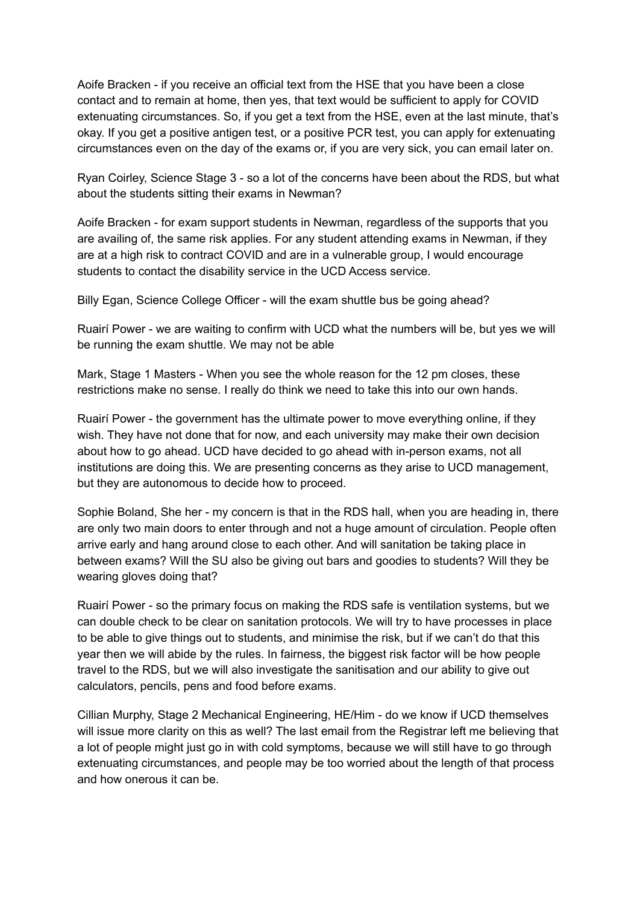Aoife Bracken - if you receive an official text from the HSE that you have been a close contact and to remain at home, then yes, that text would be sufficient to apply for COVID extenuating circumstances. So, if you get a text from the HSE, even at the last minute, that's okay. If you get a positive antigen test, or a positive PCR test, you can apply for extenuating circumstances even on the day of the exams or, if you are very sick, you can email later on.

Ryan Coirley, Science Stage 3 - so a lot of the concerns have been about the RDS, but what about the students sitting their exams in Newman?

Aoife Bracken - for exam support students in Newman, regardless of the supports that you are availing of, the same risk applies. For any student attending exams in Newman, if they are at a high risk to contract COVID and are in a vulnerable group, I would encourage students to contact the disability service in the UCD Access service.

Billy Egan, Science College Officer - will the exam shuttle bus be going ahead?

Ruairí Power - we are waiting to confirm with UCD what the numbers will be, but yes we will be running the exam shuttle. We may not be able

Mark, Stage 1 Masters - When you see the whole reason for the 12 pm closes, these restrictions make no sense. I really do think we need to take this into our own hands.

Ruairí Power - the government has the ultimate power to move everything online, if they wish. They have not done that for now, and each university may make their own decision about how to go ahead. UCD have decided to go ahead with in-person exams, not all institutions are doing this. We are presenting concerns as they arise to UCD management, but they are autonomous to decide how to proceed.

Sophie Boland, She her - my concern is that in the RDS hall, when you are heading in, there are only two main doors to enter through and not a huge amount of circulation. People often arrive early and hang around close to each other. And will sanitation be taking place in between exams? Will the SU also be giving out bars and goodies to students? Will they be wearing gloves doing that?

Ruairí Power - so the primary focus on making the RDS safe is ventilation systems, but we can double check to be clear on sanitation protocols. We will try to have processes in place to be able to give things out to students, and minimise the risk, but if we can't do that this year then we will abide by the rules. In fairness, the biggest risk factor will be how people travel to the RDS, but we will also investigate the sanitisation and our ability to give out calculators, pencils, pens and food before exams.

Cillian Murphy, Stage 2 Mechanical Engineering, HE/Him - do we know if UCD themselves will issue more clarity on this as well? The last email from the Registrar left me believing that a lot of people might just go in with cold symptoms, because we will still have to go through extenuating circumstances, and people may be too worried about the length of that process and how onerous it can be.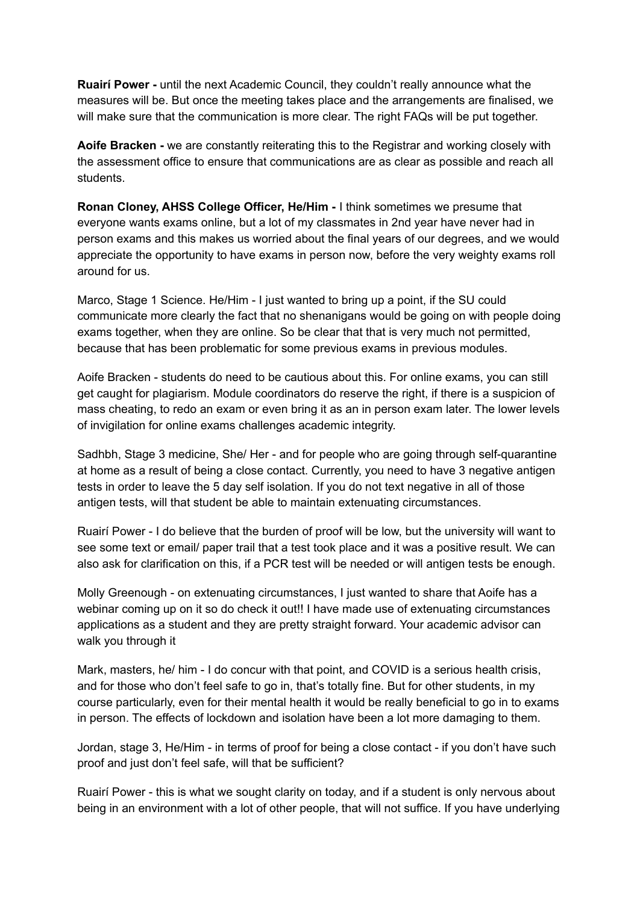**Ruairí Power -** until the next Academic Council, they couldn't really announce what the measures will be. But once the meeting takes place and the arrangements are finalised, we will make sure that the communication is more clear. The right FAQs will be put together.

**Aoife Bracken -** we are constantly reiterating this to the Registrar and working closely with the assessment office to ensure that communications are as clear as possible and reach all students.

**Ronan Cloney, AHSS College Officer, He/Him -** I think sometimes we presume that everyone wants exams online, but a lot of my classmates in 2nd year have never had in person exams and this makes us worried about the final years of our degrees, and we would appreciate the opportunity to have exams in person now, before the very weighty exams roll around for us.

Marco, Stage 1 Science. He/Him - I just wanted to bring up a point, if the SU could communicate more clearly the fact that no shenanigans would be going on with people doing exams together, when they are online. So be clear that that is very much not permitted, because that has been problematic for some previous exams in previous modules.

Aoife Bracken - students do need to be cautious about this. For online exams, you can still get caught for plagiarism. Module coordinators do reserve the right, if there is a suspicion of mass cheating, to redo an exam or even bring it as an in person exam later. The lower levels of invigilation for online exams challenges academic integrity.

Sadhbh, Stage 3 medicine, She/ Her - and for people who are going through self-quarantine at home as a result of being a close contact. Currently, you need to have 3 negative antigen tests in order to leave the 5 day self isolation. If you do not text negative in all of those antigen tests, will that student be able to maintain extenuating circumstances.

Ruairí Power - I do believe that the burden of proof will be low, but the university will want to see some text or email/ paper trail that a test took place and it was a positive result. We can also ask for clarification on this, if a PCR test will be needed or will antigen tests be enough.

Molly Greenough - on extenuating circumstances, I just wanted to share that Aoife has a webinar coming up on it so do check it out!! I have made use of extenuating circumstances applications as a student and they are pretty straight forward. Your academic advisor can walk you through it

Mark, masters, he/ him - I do concur with that point, and COVID is a serious health crisis, and for those who don't feel safe to go in, that's totally fine. But for other students, in my course particularly, even for their mental health it would be really beneficial to go in to exams in person. The effects of lockdown and isolation have been a lot more damaging to them.

Jordan, stage 3, He/Him - in terms of proof for being a close contact - if you don't have such proof and just don't feel safe, will that be sufficient?

Ruairí Power - this is what we sought clarity on today, and if a student is only nervous about being in an environment with a lot of other people, that will not suffice. If you have underlying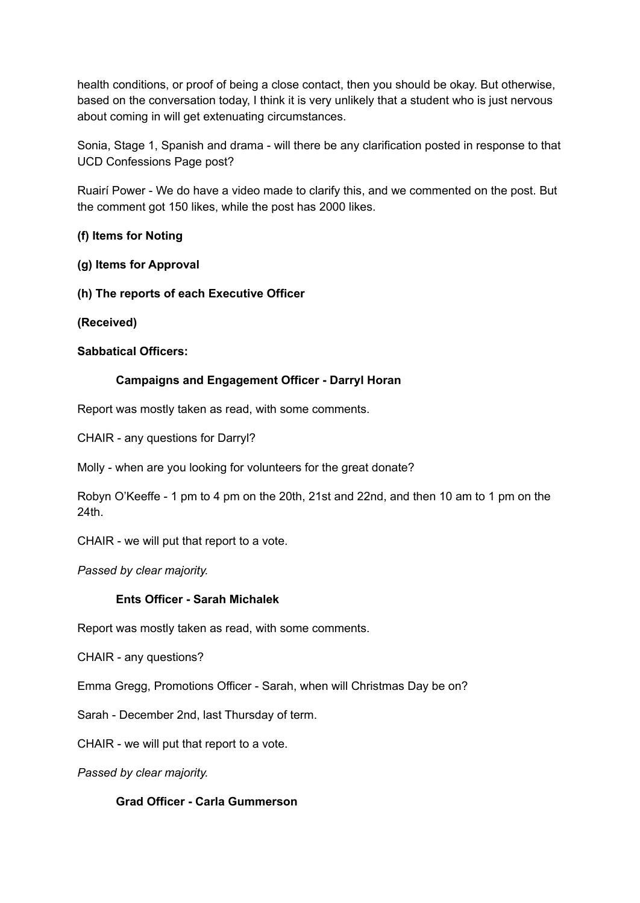health conditions, or proof of being a close contact, then you should be okay. But otherwise, based on the conversation today, I think it is very unlikely that a student who is just nervous about coming in will get extenuating circumstances.

Sonia, Stage 1, Spanish and drama - will there be any clarification posted in response to that UCD Confessions Page post?

Ruairí Power - We do have a video made to clarify this, and we commented on the post. But the comment got 150 likes, while the post has 2000 likes.

## **(f) Items for Noting**

**(g) Items for Approval**

**(h) The reports of each Executive Officer**

**(Received)**

### **Sabbatical Officers:**

## **Campaigns and Engagement Officer - Darryl Horan**

Report was mostly taken as read, with some comments.

CHAIR - any questions for Darryl?

Molly - when are you looking for volunteers for the great donate?

Robyn O'Keeffe - 1 pm to 4 pm on the 20th, 21st and 22nd, and then 10 am to 1 pm on the 24th.

CHAIR - we will put that report to a vote.

*Passed by clear majority.*

### **Ents Officer - Sarah Michalek**

Report was mostly taken as read, with some comments.

CHAIR - any questions?

Emma Gregg, Promotions Officer - Sarah, when will Christmas Day be on?

Sarah - December 2nd, last Thursday of term.

CHAIR - we will put that report to a vote.

*Passed by clear majority.*

### **Grad Officer - Carla Gummerson**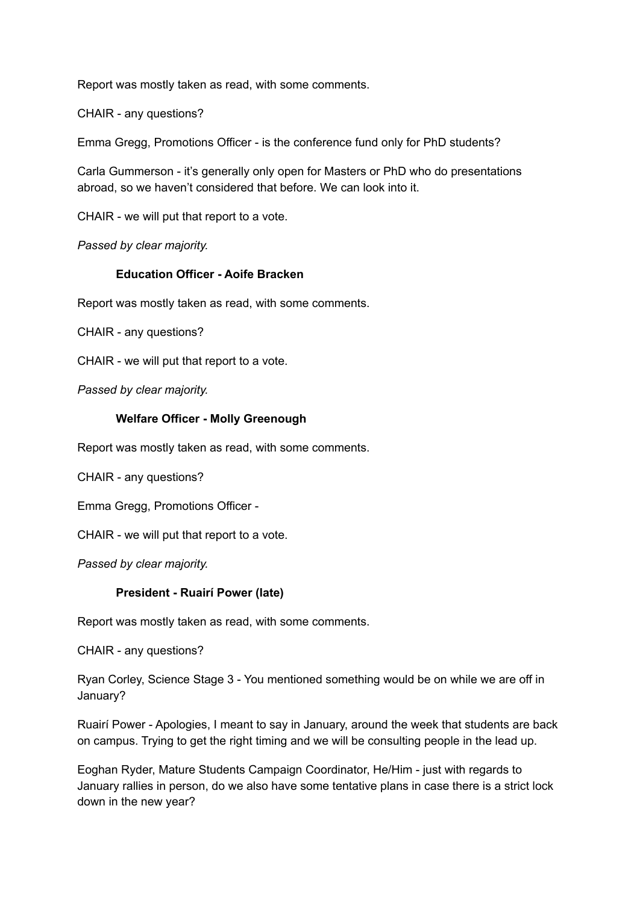Report was mostly taken as read, with some comments.

CHAIR - any questions?

Emma Gregg, Promotions Officer - is the conference fund only for PhD students?

Carla Gummerson - it's generally only open for Masters or PhD who do presentations abroad, so we haven't considered that before. We can look into it.

CHAIR - we will put that report to a vote.

*Passed by clear majority.*

## **Education Officer - Aoife Bracken**

Report was mostly taken as read, with some comments.

CHAIR - any questions?

CHAIR - we will put that report to a vote.

*Passed by clear majority.*

### **Welfare Officer - Molly Greenough**

Report was mostly taken as read, with some comments.

CHAIR - any questions?

Emma Gregg, Promotions Officer -

CHAIR - we will put that report to a vote.

*Passed by clear majority.*

### **President - Ruairí Power (late)**

Report was mostly taken as read, with some comments.

CHAIR - any questions?

Ryan Corley, Science Stage 3 - You mentioned something would be on while we are off in January?

Ruairí Power - Apologies, I meant to say in January, around the week that students are back on campus. Trying to get the right timing and we will be consulting people in the lead up.

Eoghan Ryder, Mature Students Campaign Coordinator, He/Him - just with regards to January rallies in person, do we also have some tentative plans in case there is a strict lock down in the new year?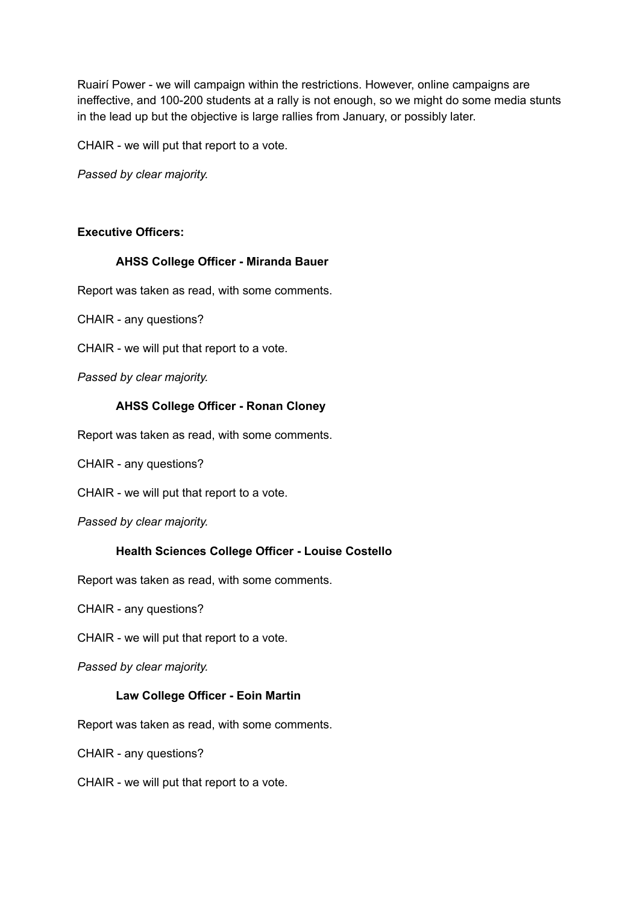Ruairí Power - we will campaign within the restrictions. However, online campaigns are ineffective, and 100-200 students at a rally is not enough, so we might do some media stunts in the lead up but the objective is large rallies from January, or possibly later.

CHAIR - we will put that report to a vote.

*Passed by clear majority.*

## **Executive Officers:**

## **AHSS College Officer - Miranda Bauer**

Report was taken as read, with some comments.

CHAIR - any questions?

CHAIR - we will put that report to a vote.

*Passed by clear majority.*

## **AHSS College Officer - Ronan Cloney**

Report was taken as read, with some comments.

CHAIR - any questions?

CHAIR - we will put that report to a vote.

*Passed by clear majority.*

### **Health Sciences College Officer - Louise Costello**

Report was taken as read, with some comments.

CHAIR - any questions?

CHAIR - we will put that report to a vote.

*Passed by clear majority.*

### **Law College Officer - Eoin Martin**

Report was taken as read, with some comments.

CHAIR - any questions?

CHAIR - we will put that report to a vote.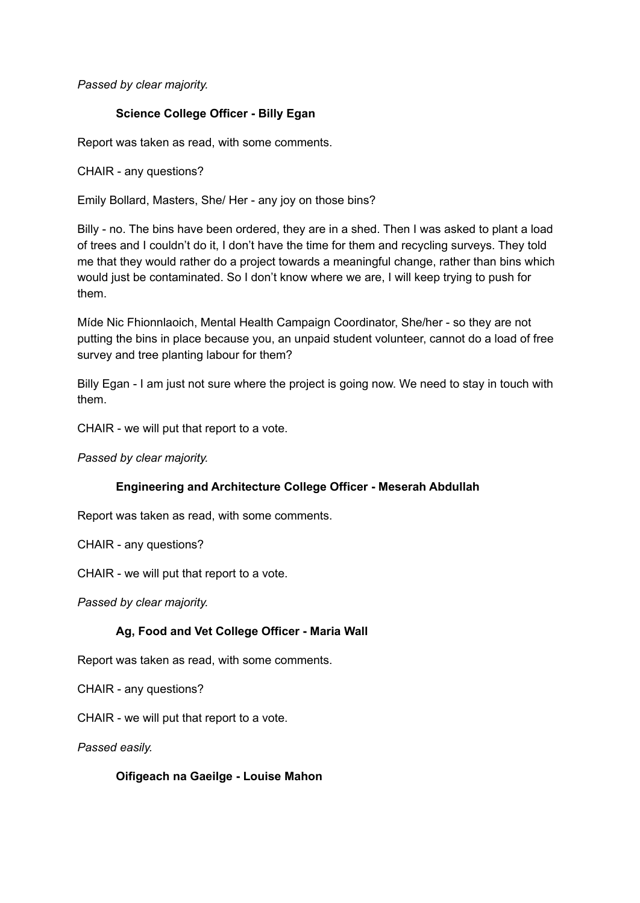*Passed by clear majority.*

## **Science College Officer - Billy Egan**

Report was taken as read, with some comments.

CHAIR - any questions?

Emily Bollard, Masters, She/ Her - any joy on those bins?

Billy - no. The bins have been ordered, they are in a shed. Then I was asked to plant a load of trees and I couldn't do it, I don't have the time for them and recycling surveys. They told me that they would rather do a project towards a meaningful change, rather than bins which would just be contaminated. So I don't know where we are, I will keep trying to push for them.

Míde Nic Fhionnlaoich, Mental Health Campaign Coordinator, She/her - so they are not putting the bins in place because you, an unpaid student volunteer, cannot do a load of free survey and tree planting labour for them?

Billy Egan - I am just not sure where the project is going now. We need to stay in touch with them.

CHAIR - we will put that report to a vote.

*Passed by clear majority.*

## **Engineering and Architecture College Officer - Meserah Abdullah**

Report was taken as read, with some comments.

CHAIR - any questions?

CHAIR - we will put that report to a vote.

*Passed by clear majority.*

## **Ag, Food and Vet College Officer - Maria Wall**

Report was taken as read, with some comments.

CHAIR - any questions?

CHAIR - we will put that report to a vote.

*Passed easily.*

**Oifigeach na Gaeilge - Louise Mahon**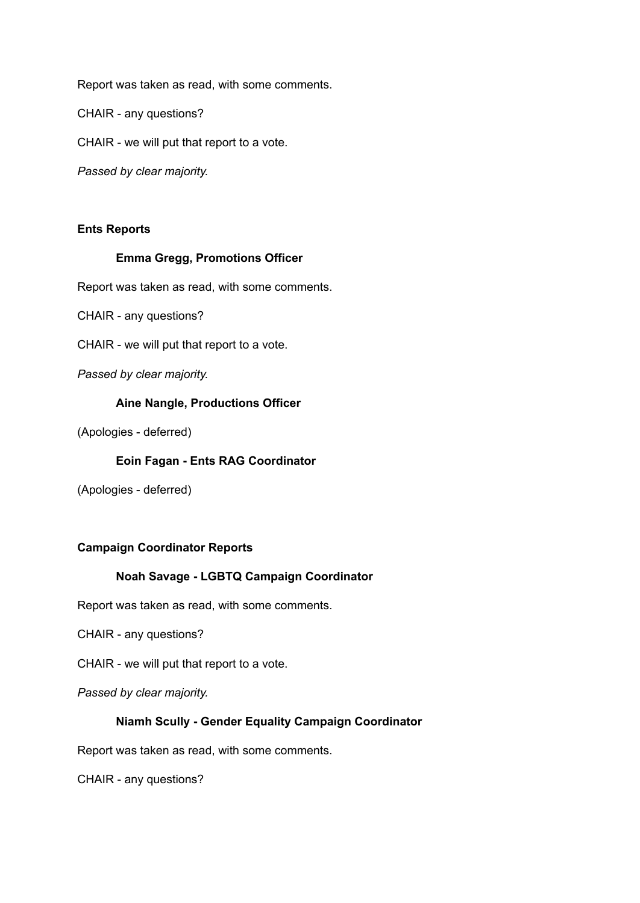Report was taken as read, with some comments.

CHAIR - any questions?

CHAIR - we will put that report to a vote.

*Passed by clear majority.*

### **Ents Reports**

#### **Emma Gregg, Promotions Officer**

Report was taken as read, with some comments.

CHAIR - any questions?

CHAIR - we will put that report to a vote.

*Passed by clear majority.*

#### **Aine Nangle, Productions Officer**

(Apologies - deferred)

### **Eoin Fagan - Ents RAG Coordinator**

(Apologies - deferred)

### **Campaign Coordinator Reports**

## **Noah Savage - LGBTQ Campaign Coordinator**

Report was taken as read, with some comments.

CHAIR - any questions?

CHAIR - we will put that report to a vote.

*Passed by clear majority.*

### **Niamh Scully - Gender Equality Campaign Coordinator**

Report was taken as read, with some comments.

CHAIR - any questions?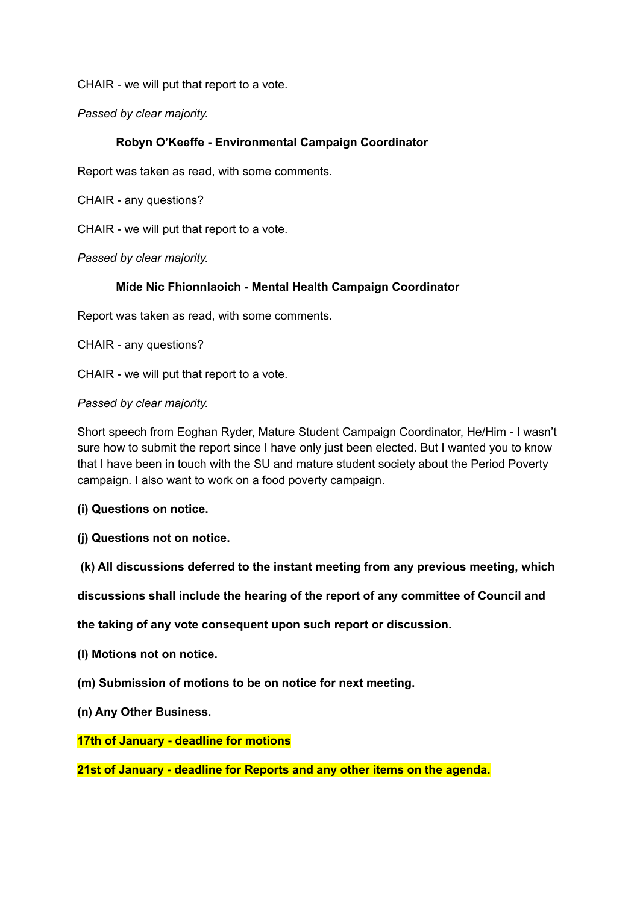CHAIR - we will put that report to a vote.

*Passed by clear majority.*

## **Robyn O'Keeffe - Environmental Campaign Coordinator**

Report was taken as read, with some comments.

CHAIR - any questions?

CHAIR - we will put that report to a vote.

*Passed by clear majority.*

## **Míde Nic Fhionnlaoich - Mental Health Campaign Coordinator**

Report was taken as read, with some comments.

CHAIR - any questions?

CHAIR - we will put that report to a vote.

*Passed by clear majority.*

Short speech from Eoghan Ryder, Mature Student Campaign Coordinator, He/Him - I wasn't sure how to submit the report since I have only just been elected. But I wanted you to know that I have been in touch with the SU and mature student society about the Period Poverty campaign. I also want to work on a food poverty campaign.

**(i) Questions on notice.**

**(j) Questions not on notice.**

**(k) All discussions deferred to the instant meeting from any previous meeting, which**

**discussions shall include the hearing of the report of any committee of Council and**

**the taking of any vote consequent upon such report or discussion.**

**(l) Motions not on notice.**

**(m) Submission of motions to be on notice for next meeting.**

**(n) Any Other Business.**

**17th of January - deadline for motions**

**21st of January - deadline for Reports and any other items on the agenda.**